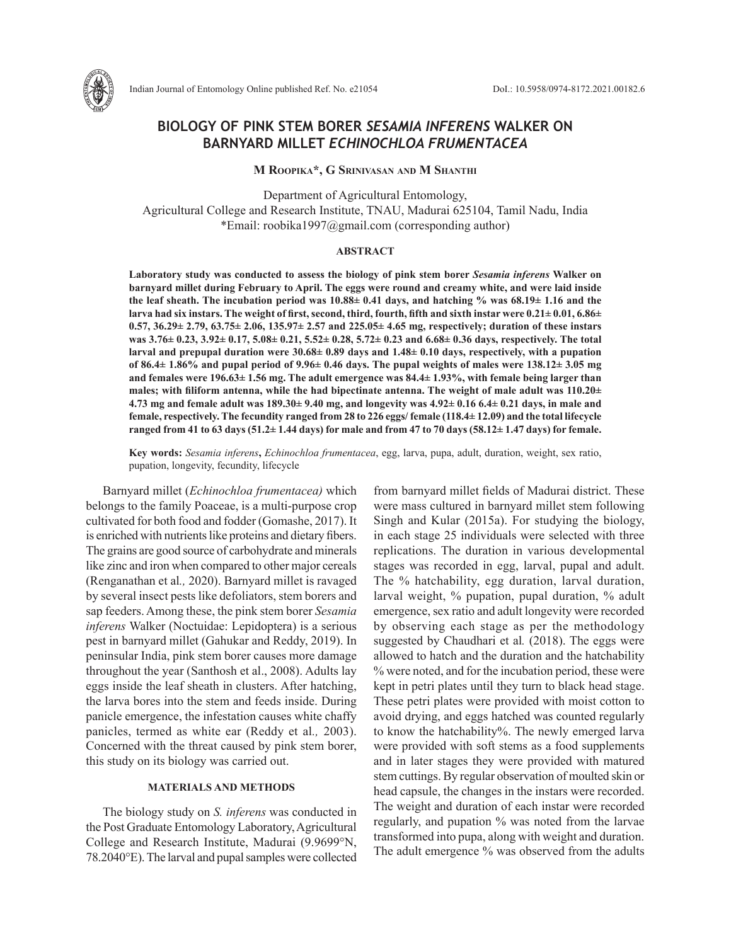

# **BIOLOGY OF PINK STEM BORER** *SESAMIA INFERENS* **WALKER ON BARNYARD MILLET** *ECHINOCHLOA FRUMENTACEA*

#### **M Roopika\*, G Srinivasan and M Shanthi**

Department of Agricultural Entomology, Agricultural College and Research Institute, TNAU, Madurai 625104, Tamil Nadu, India \*Email: roobika1997@gmail.com (corresponding author)

## **ABSTRACT**

**Laboratory study was conducted to assess the biology of pink stem borer** *Sesamia inferens* **Walker on barnyard millet during February to April. The eggs were round and creamy white, and were laid inside the leaf sheath. The incubation period was 10.88± 0.41 days, and hatching % was 68.19± 1.16 and the larva had six instars. The weight of first, second, third, fourth, fifth and sixth instar were 0.21± 0.01, 6.86± 0.57, 36.29± 2.79, 63.75± 2.06, 135.97± 2.57 and 225.05± 4.65 mg, respectively; duration of these instars was 3.76± 0.23, 3.92± 0.17, 5.08± 0.21, 5.52± 0.28, 5.72± 0.23 and 6.68± 0.36 days, respectively. The total larval and prepupal duration were 30.68± 0.89 days and 1.48± 0.10 days, respectively, with a pupation of 86.4± 1.86% and pupal period of 9.96± 0.46 days. The pupal weights of males were 138.12± 3.05 mg and females were 196.63± 1.56 mg. The adult emergence was 84.4± 1.93%, with female being larger than males; with filiform antenna, while the had bipectinate antenna. The weight of male adult was 110.20± 4.73 mg and female adult was 189.30± 9.40 mg, and longevity was 4.92± 0.16 6.4± 0.21 days, in male and female, respectively. The fecundity ranged from 28 to 226 eggs/ female (118.4± 12.09) and the total lifecycle ranged from 41 to 63 days (51.2± 1.44 days) for male and from 47 to 70 days (58.12± 1.47 days) for female.**

**Key words:** *Sesamia inferens***,** *Echinochloa frumentacea*, egg, larva, pupa, adult, duration, weight, sex ratio, pupation, longevity, fecundity, lifecycle

Barnyard millet (*Echinochloa frumentacea)* which belongs to the family Poaceae, is a multi-purpose crop cultivated for both food and fodder (Gomashe, 2017). It is enriched with nutrients like proteins and dietary fibers. The grains are good source of carbohydrate and minerals like zinc and iron when compared to other major cereals (Renganathan et al*.,* 2020). Barnyard millet is ravaged by several insect pests like defoliators, stem borers and sap feeders. Among these, the pink stem borer *Sesamia inferens* Walker (Noctuidae: Lepidoptera) is a serious pest in barnyard millet (Gahukar and Reddy, 2019). In peninsular India, pink stem borer causes more damage throughout the year (Santhosh et al., 2008). Adults lay eggs inside the leaf sheath in clusters. After hatching, the larva bores into the stem and feeds inside. During panicle emergence, the infestation causes white chaffy panicles, termed as white ear (Reddy et al*.,* 2003). Concerned with the threat caused by pink stem borer, this study on its biology was carried out.

## **MATERIALS AND METHODS**

The biology study on *S. inferens* was conducted in the Post Graduate Entomology Laboratory, Agricultural College and Research Institute, Madurai (9.9699°N, 78.2040°E). The larval and pupal samples were collected

from barnyard millet fields of Madurai district. These were mass cultured in barnyard millet stem following Singh and Kular (2015a). For studying the biology, in each stage 25 individuals were selected with three replications. The duration in various developmental stages was recorded in egg, larval, pupal and adult. The % hatchability, egg duration, larval duration, larval weight, % pupation, pupal duration, % adult emergence, sex ratio and adult longevity were recorded by observing each stage as per the methodology suggested by Chaudhari et al*.* (2018). The eggs were allowed to hatch and the duration and the hatchability % were noted, and for the incubation period, these were kept in petri plates until they turn to black head stage. These petri plates were provided with moist cotton to avoid drying, and eggs hatched was counted regularly to know the hatchability%. The newly emerged larva were provided with soft stems as a food supplements and in later stages they were provided with matured stem cuttings. By regular observation of moulted skin or head capsule, the changes in the instars were recorded. The weight and duration of each instar were recorded regularly, and pupation % was noted from the larvae transformed into pupa, along with weight and duration. The adult emergence % was observed from the adults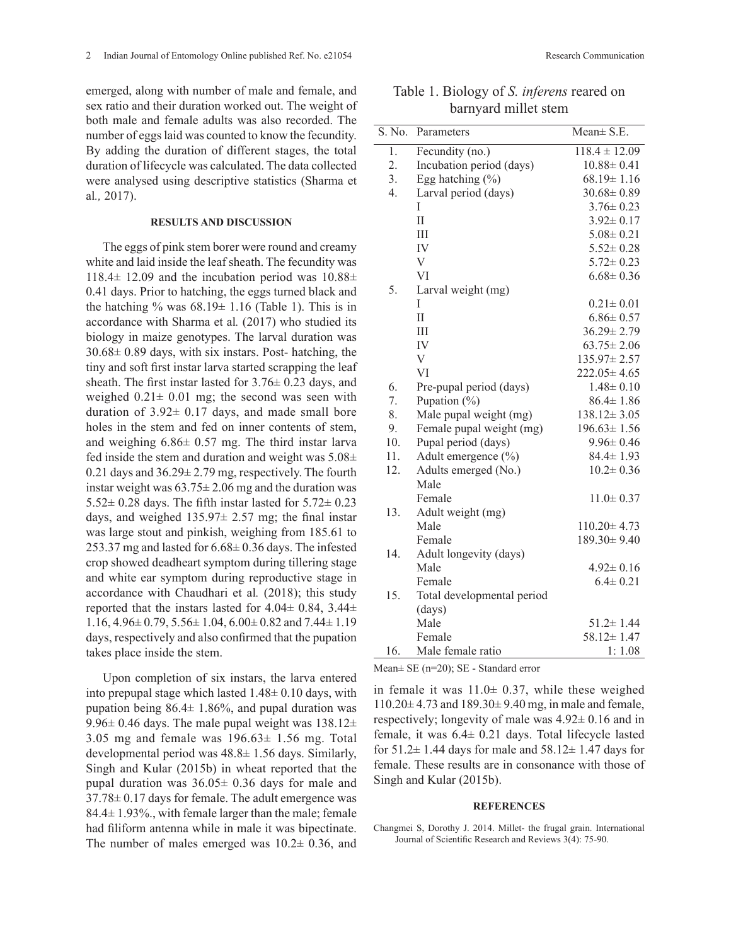emerged, along with number of male and female, and sex ratio and their duration worked out. The weight of both male and female adults was also recorded. The number of eggs laid was counted to know the fecundity. By adding the duration of different stages, the total duration of lifecycle was calculated. The data collected were analysed using descriptive statistics (Sharma et al*.,* 2017).

## **RESULTS AND DISCUSSION**

The eggs of pink stem borer were round and creamy white and laid inside the leaf sheath. The fecundity was  $118.4\pm 12.09$  and the incubation period was  $10.88\pm$ 0.41 days. Prior to hatching, the eggs turned black and the hatching % was  $68.19 \pm 1.16$  (Table 1). This is in accordance with Sharma et al*.* (2017) who studied its biology in maize genotypes. The larval duration was  $30.68 \pm 0.89$  days, with six instars. Post- hatching, the tiny and soft first instar larva started scrapping the leaf sheath. The first instar lasted for  $3.76 \pm 0.23$  days, and weighed  $0.21 \pm 0.01$  mg; the second was seen with duration of  $3.92 \pm 0.17$  days, and made small bore holes in the stem and fed on inner contents of stem, and weighing 6.86± 0.57 mg. The third instar larva fed inside the stem and duration and weight was  $5.08\pm$ 0.21 days and 36.29± 2.79 mg, respectively. The fourth instar weight was  $63.75 \pm 2.06$  mg and the duration was 5.52 $\pm$  0.28 days. The fifth instar lasted for 5.72 $\pm$  0.23 days, and weighed  $135.97 \pm 2.57$  mg; the final instar was large stout and pinkish, weighing from 185.61 to 253.37 mg and lasted for 6.68± 0.36 days. The infested crop showed deadheart symptom during tillering stage and white ear symptom during reproductive stage in accordance with Chaudhari et al*.* (2018); this study reported that the instars lasted for  $4.04 \pm 0.84$ ,  $3.44 \pm$ 1.16,  $4.96 \pm 0.79$ ,  $5.56 \pm 1.04$ ,  $6.00 \pm 0.82$  and  $7.44 \pm 1.19$ days, respectively and also confirmed that the pupation takes place inside the stem.

Upon completion of six instars, the larva entered into prepupal stage which lasted 1.48± 0.10 days, with pupation being  $86.4 \pm 1.86\%$ , and pupal duration was 9.96 $\pm$  0.46 days. The male pupal weight was 138.12 $\pm$ 3.05 mg and female was  $196.63 \pm 1.56$  mg. Total developmental period was 48.8± 1.56 days. Similarly, Singh and Kular (2015b) in wheat reported that the pupal duration was  $36.05 \pm 0.36$  days for male and 37.78± 0.17 days for female. The adult emergence was 84.4± 1.93%., with female larger than the male; female had filiform antenna while in male it was bipectinate. The number of males emerged was  $10.2 \pm 0.36$ , and

Table 1. Biology of *S. inferens* reared on barnyard millet stem

| S. No.         | Parameters                 | Mean $\pm$ S.E.   |
|----------------|----------------------------|-------------------|
| $\mathbf{1}$ . | Fecundity (no.)            | $118.4 \pm 12.09$ |
| 2.             | Incubation period (days)   | $10.88 \pm 0.41$  |
| 3.             | Egg hatching (%)           | $68.19 \pm 1.16$  |
| 4.             | Larval period (days)       | $30.68 \pm 0.89$  |
|                | I                          | $3.76 \pm 0.23$   |
|                | $\prod$                    | $3.92 \pm 0.17$   |
|                | III                        | $5.08 \pm 0.21$   |
|                | IV                         | $5.52 \pm 0.28$   |
|                | V                          | $5.72 \pm 0.23$   |
|                | VI                         | $6.68 \pm 0.36$   |
| 5.             | Larval weight (mg)         |                   |
|                | T                          | $0.21 \pm 0.01$   |
|                | $\mathbf{I}$               | $6.86 \pm 0.57$   |
|                | III                        | $36.29 \pm 2.79$  |
|                | IV                         | $63.75 \pm 2.06$  |
|                | V                          | $135.97 \pm 2.57$ |
|                | VI                         | $222.05 \pm 4.65$ |
| 6.             | Pre-pupal period (days)    | $1.48 \pm 0.10$   |
| 7.             | Pupation $(\% )$           | $86.4 \pm 1.86$   |
| 8.             | Male pupal weight (mg)     | $138.12 \pm 3.05$ |
| 9.             | Female pupal weight (mg)   | $196.63 \pm 1.56$ |
| 10.            | Pupal period (days)        | $9.96 \pm 0.46$   |
| 11.            | Adult emergence (%)        | $84.4 \pm 1.93$   |
| 12.            | Adults emerged (No.)       | $10.2 \pm 0.36$   |
|                | Male                       |                   |
|                | Female                     | $11.0 \pm 0.37$   |
| 13.            | Adult weight (mg)          |                   |
|                | Male                       | $110.20 \pm 4.73$ |
|                | Female                     | $189.30 \pm 9.40$ |
| 14.            | Adult longevity (days)     |                   |
|                | Male                       | $4.92 \pm 0.16$   |
|                | Female                     | $6.4 \pm 0.21$    |
| 15.            | Total developmental period |                   |
|                | (days)                     |                   |
|                | Male                       | $51.2 \pm 1.44$   |
|                | Female                     | $58.12 \pm 1.47$  |
| 16.            | Male female ratio          | 1:1.08            |

Mean± SE (n=20); SE - Standard error

in female it was  $11.0 \pm 0.37$ , while these weighed  $110.20 \pm 4.73$  and  $189.30 \pm 9.40$  mg, in male and female, respectively; longevity of male was  $4.92 \pm 0.16$  and in female, it was 6.4± 0.21 days. Total lifecycle lasted for  $51.2 \pm 1.44$  days for male and  $58.12 \pm 1.47$  days for female. These results are in consonance with those of Singh and Kular (2015b).

## **REFERENCES**

Changmei S, Dorothy J. 2014. Millet- the frugal grain. International Journal of Scientific Research and Reviews 3(4): 75-90.